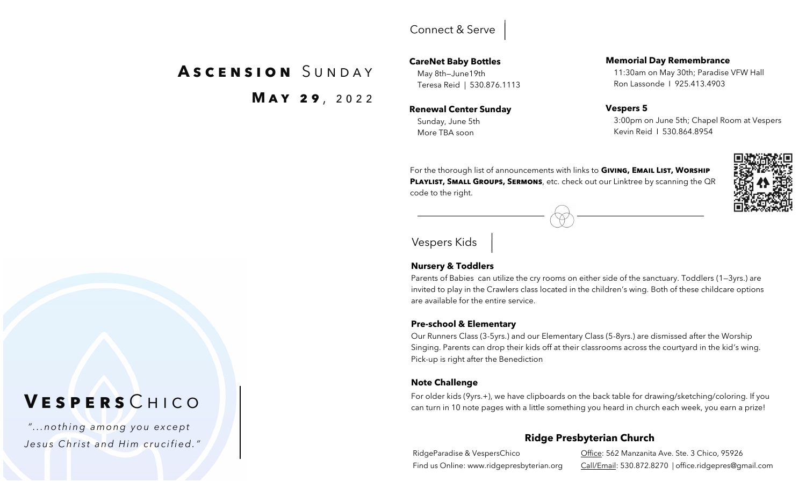### Connect & Serve

# **ASCENSION** SUNDAY

**M a y 2 9** , 2 0 2 2

**CareNet Baby Bottles** May 8th—June19th

Teresa Reid | 530.876.1113

**Renewal Center Sunday**

 Sunday, June 5th More TBA soon

#### **Memorial Day Remembrance**

 11:30am on May 30th; Paradise VFW Hall Ron Lassonde I 925.413.4903

#### **Vespers 5**

 3:00pm on June 5th; Chapel Room at Vespers Kevin Reid I 530.864.8954

For the thorough list of announcements with links to **Giving, Email List, Worship Playlist, Small Groups, Sermons**, etc. check out our Linktree by scanning the QR code to the right.



Vespers Kids

#### **Nursery & Toddlers**

Parents of Babies can utilize the cry rooms on either side of the sanctuary. Toddlers (1—3yrs.) are invited to play in the Crawlers class located in the children's wing. Both of these childcare options are available for the entire service.

#### **Pre-school & Elementary**

Our Runners Class (3-5yrs.) and our Elementary Class (5-8yrs.) are dismissed after the Worship Singing. Parents can drop their kids off at their classrooms across the courtyard in the kid's wing. Pick-up is right after the Benediction

#### **Note Challenge**

For older kids (9yrs.+), we have clipboards on the back table for drawing/sketching/coloring. If you can turn in 10 note pages with a little something you heard in church each week, you earn a prize!

### **Ridge Presbyterian Church**

RidgeParadise & VespersChico Find us Online: www.ridgepresbyterian.org

Office: 562 Manzanita Ave. Ste. 3 Chico, 95926 Call/Email: 530.872.8270 | office.ridgepres@gmail.com

# **V e s p e r s** C h i c o

*" . . .n o th i n g a m o ng y o u ex c e pt*  Jesus Christ and Him crucified."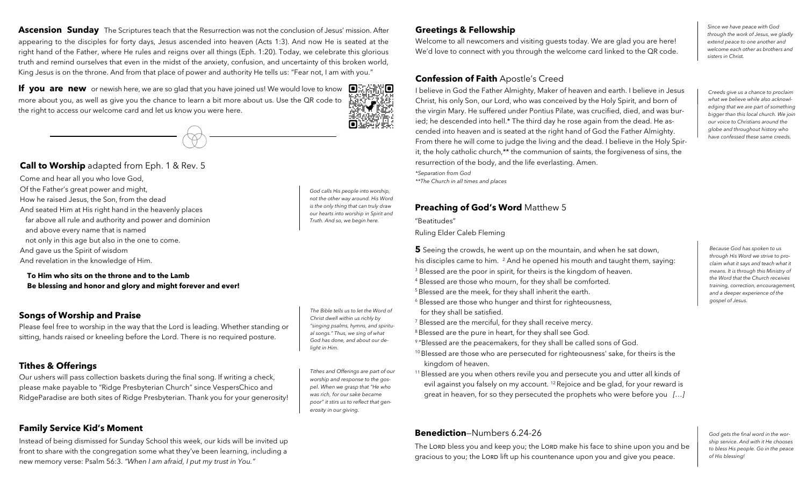**Ascension Sunday** The Scriptures teach that the Resurrection was not the conclusion of Jesus' mission. After appearing to the disciples for forty days, Jesus ascended into heaven (Acts 1:3). And now He is seated at the right hand of the Father, where He rules and reigns over all things (Eph. 1:20). Today, we celebrate this glorious truth and remind ourselves that even in the midst of the anxiety, confusion, and uncertainty of this broken world, King Jesus is on the throne. And from that place of power and authority He tells us: "Fear not, I am with you."

**If you are new** or newish here, we are so glad that you have joined us! We would love to know more about you, as well as give you the chance to learn a bit more about us. Use the QR code to the right to access our welcome card and let us know you were here.



#### **Call to Worship** adapted from Eph. 1 & Rev. 5

Come and hear all you who love God, Of the Father's great power and might, How he raised Jesus, the Son, from the dead And seated Him at His right hand in the heavenly places far above all rule and authority and power and dominion and above every name that is named not only in this age but also in the one to come. And gave us the Spirit of wisdom And revelation in the knowledge of Him.

 **To Him who sits on the throne and to the Lamb Be blessing and honor and glory and might forever and ever!**

#### **Songs of Worship and Praise**

Please feel free to worship in the way that the Lord is leading. Whether standing or sitting, hands raised or kneeling before the Lord. There is no required posture.

#### **Tithes & Offerings**

Our ushers will pass collection baskets during the final song. If writing a check, please make payable to "Ridge Presbyterian Church" since VespersChico and RidgeParadise are both sites of Ridge Presbyterian. Thank you for your generosity!

#### **Family Service Kid's Moment**

Instead of being dismissed for Sunday School this week, our kids will be invited up front to share with the congregation some what they've been learning, including a new memory verse: Psalm 56:3. *"When I am afraid, I put my trust in You."*

*The Bible tells us to let the Word of Christ dwell within us richly by "singing psalms, hymns, and spiritual songs." Thus, we sing of what God has done, and about our delight in Him.* 

*God calls His people into worship, not the other way around. His Word is the only thing that can truly draw our hearts into worship in Spirit and Truth. And so, we begin here.* 

*Tithes and Offerings are part of our worship and response to the gospel. When we grasp that "He who was rich, for our sake became poor" it stirs us to reflect that generosity in our giving.*

#### **Greetings & Fellowship**

Welcome to all newcomers and visiting guests today. We are glad you are here! We'd love to connect with you through the welcome card linked to the QR code.

#### **Confession of Faith** Apostle's Creed

I believe in God the Father Almighty, Maker of heaven and earth. I believe in Jesus Christ, his only Son, our Lord, who was conceived by the Holy Spirit, and born of the virgin Mary. He suffered under Pontius Pilate, was crucified, died, and was buried; he descended into hell.\* The third day he rose again from the dead. He ascended into heaven and is seated at the right hand of God the Father Almighty. From there he will come to judge the living and the dead. I believe in the Holy Spirit, the holy catholic church,\*\* the communion of saints, the forgiveness of sins, the resurrection of the body, and the life everlasting. Amen.

*\*Separation from God \*\*The Church in all times and places*

#### **Preaching of God's Word** Matthew 5

#### "Beatitudes"

Ruling Elder Caleb Fleming

**5** Seeing the crowds, he went up on the mountain, and when he sat down, his disciples came to him. <sup>2</sup> And he opened his mouth and taught them, saying: <sup>3</sup> Blessed are the poor in spirit, for theirs is the kingdom of heaven.

- <sup>4</sup> Blessed are those who mourn, for they shall be comforted.
- <sup>5</sup> Blessed are the meek, for they shall inherit the earth.
- <sup>6</sup> Blessed are those who hunger and thirst for righteousness, for they shall be satisfied.
- <sup>7</sup> Blessed are the merciful, for they shall receive mercy.
- <sup>8</sup>Blessed are the pure in heart, for they shall see God.
- <sup>9</sup> "Blessed are the peacemakers, for they shall be called sons of God.
- $10$  Blessed are those who are persecuted for righteousness' sake, for theirs is the kingdom of heaven.
- <sup>11</sup> Blessed are you when others revile you and persecute you and utter all kinds of evil against you falsely on my account. <sup>12</sup> Rejoice and be glad, for your reward is great in heaven, for so they persecuted the prophets who were before you *[…]*

#### **Benediction**—Numbers 6.24-26

The Lor<sub>D</sub> bless you and keep you; the Lor<sub>D</sub> make his face to shine upon you and be gracious to you; the LORD lift up his countenance upon you and give you peace.

*God gets the final word in the worship service. And with it He chooses to bless His people. Go in the peace of His blessing!*

*through His Word we strive to proclaim what it says and teach what it means. It is through this Ministry of the Word that the Church receives training, correction, encouragement, and a deeper experience of the gospel of Jesus.*

*Because God has spoken to us* 

*Creeds give us a chance to proclaim what we believe while also acknowledging that we are part of something bigger than this local church. We join our voice to Christians around the globe and throughout history who have confessed these same creeds.*

*Since we have peace with God through the work of Jesus, we gladly extend peace to one another and welcome each other as brothers and* 

*sisters in Christ.*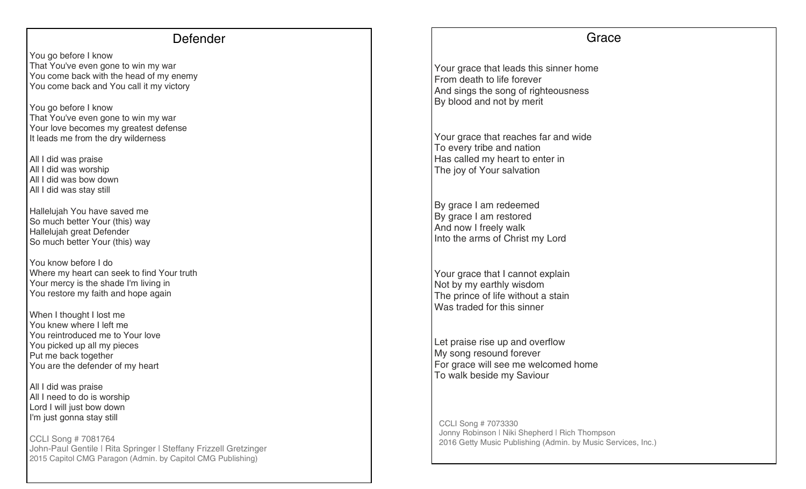### Defender

You go before I know That You've even gone to win my war You come back with the head of my enemy You come back and You call it my victory

You go before I know That You've even gone to win my war Your love becomes my greatest defense It leads me from the dry wilderness

All I did was praise All I did was worship All I did was bow down All I did was stay still

Hallelujah You have saved me So much better Your (this) way Hallelujah great Defender So much better Your (this) way

You know before I do Where my heart can seek to find Your truth Your mercy is the shade I'm living in You restore my faith and hope again

When I thought I lost me You knew where I left me You reintroduced me to Your love You picked up all my pieces Put me back together You are the defender of my heart

All I did was praise All I need to do is worship Lord I will just bow down I'm just gonna stay still

CCLI Song # 7081764 John-Paul Gentile | Rita Springer | Steffany Frizzell Gretzinger 2015 Capitol CMG Paragon (Admin. by Capitol CMG Publishing)

### Grace

Your grace that leads this sinner home From death to life forever And sings the song of righteousness By blood and not by merit

Your grace that reaches far and wide To every tribe and nation Has called my heart to enter in The joy of Your salvation

By grace I am redeemed By grace I am restored And now I freely walk Into the arms of Christ my Lord

Your grace that I cannot explain Not by my earthly wisdom The prince of life without a stain Was traded for this sinner

Let praise rise up and overflow My song resound forever For grace will see me welcomed home To walk beside my Saviour

CCLI Song # 7073330 Jonny Robinson | Niki Shepherd | Rich Thompson 2016 Getty Music Publishing (Admin. by Music Services, Inc.)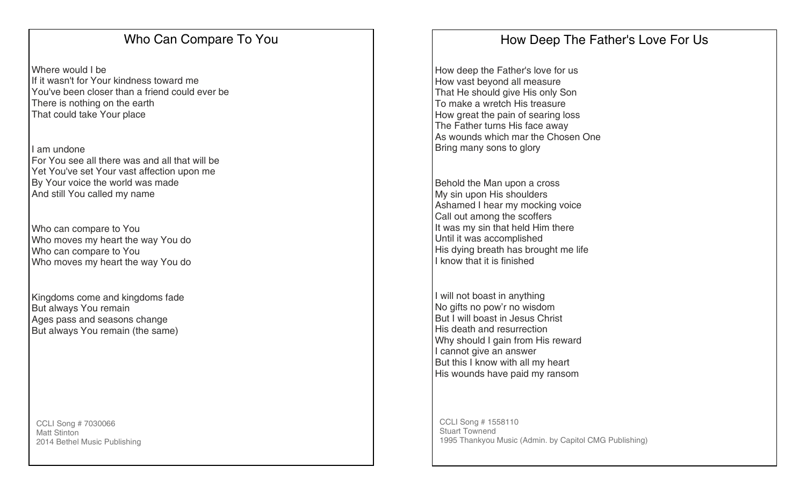# Who Can Compare To You

Where would I be If it wasn't for Your kindness toward me You've been closer than a friend could ever be There is nothing on the earth That could take Your place

I am undone

For You see all there was and all that will be Yet You've set Your vast affection upon me By Your voice the world was made And still You called my name

Who can compare to You Who moves my heart the way You do Who can compare to You Who moves my heart the way You do

Kingdoms come and kingdoms fade But always You remain Ages pass and seasons change But always You remain (the same)

CCLI Song # 7030066 Matt Stinton 2014 Bethel Music Publishing

# How Deep The Father's Love For Us

How deep the Father's love for us How vast beyond all measure That He should give His only Son To make a wretch His treasure How great the pain of searing loss The Father turns His face away As wounds which mar the Chosen One Bring many sons to glory

Behold the Man upon a cross My sin upon His shoulders Ashamed I hear my mocking voice Call out among the scoffers It was my sin that held Him there Until it was accomplished His dying breath has brought me life I know that it is finished

I will not boast in anything No gifts no pow'r no wisdom But I will boast in Jesus Christ His death and resurrection Why should I gain from His reward I cannot give an answer But this I know with all my heart His wounds have paid my ransom

CCLI Song # 1558110 Stuart Townend 1995 Thankyou Music (Admin. by Capitol CMG Publishing)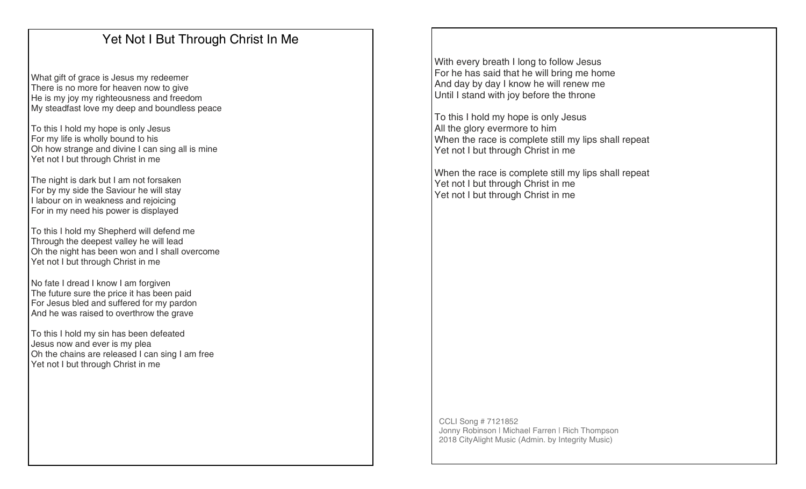# Yet Not I But Through Christ In Me

What gift of grace is Jesus my redeemer There is no more for heaven now to give He is my joy my righteousness and freedom My steadfast love my deep and boundless peace

To this I hold my hope is only Jesus For my life is wholly bound to his Oh how strange and divine I can sing all is mine Yet not I but through Christ in me

The night is dark but I am not forsaken For by my side the Saviour he will stay I labour on in weakness and rejoicing For in my need his power is displayed

To this I hold my Shepherd will defend me Through the deepest valley he will lead Oh the night has been won and I shall overcome Yet not I but through Christ in me

No fate I dread I know I am forgiven The future sure the price it has been paid For Jesus bled and suffered for my pardon And he was raised to overthrow the grave

To this I hold my sin has been defeated Jesus now and ever is my plea Oh the chains are released I can sing I am free Yet not I but through Christ in me

With every breath I long to follow Jesus For he has said that he will bring me home And day by day I know he will renew me Until I stand with joy before the throne

To this I hold my hope is only Jesus All the glory evermore to him When the race is complete still my lips shall repeat Yet not I but through Christ in me

When the race is complete still my lips shall repeat Yet not I but through Christ in me Yet not I but through Christ in me

CCLI Song # 7121852 Jonny Robinson | Michael Farren | Rich Thompson 2018 CityAlight Music (Admin. by Integrity Music)